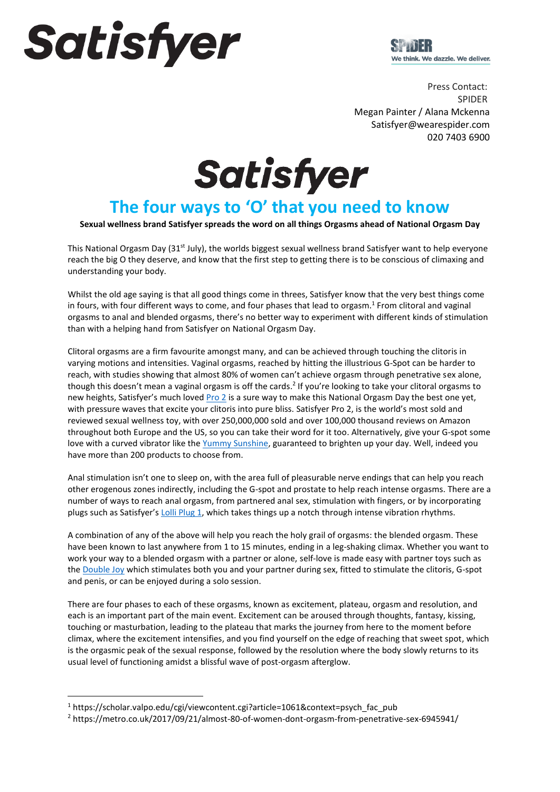# Satisfyer



Press Contact: SPIDER Megan Painter / Alana Mckenna Satisfyer@wearespider.com  020 7403 6900

**Satisfyer** 

# **The four ways to 'O' that you need to know**

#### **Sexual wellness brand Satisfyer spreads the word on all things Orgasms ahead of National Orgasm Day**

This National Orgasm Day ( $31^{st}$  July), the worlds biggest sexual wellness brand Satisfyer want to help everyone reach the big O they deserve, and know that the first step to getting there is to be conscious of climaxing and understanding your body.

Whilst the old age saying is that all good things come in threes, Satisfyer know that the very best things come in fours, with four different ways to come, and four phases that lead to orgasm.<sup>1</sup> From clitoral and vaginal orgasms to anal and blended orgasms, there's no better way to experiment with different kinds of stimulation than with a helping hand from Satisfyer on National Orgasm Day.

Clitoral orgasms are a firm favourite amongst many, and can be achieved through touching the clitoris in varying motions and intensities. Vaginal orgasms, reached by hitting the illustrious G-Spot can be harder to reach, with studies showing that almost 80% of women can't achieve orgasm through penetrative sex alone, though this doesn't mean a vaginal orgasm is off the cards.<sup>2</sup> If you're looking to take your clitoral orgasms to new heights, Satisfyer's much love[d Pro 2](https://www.satisfyer.com/uk/products/air-pulse-technology/air-pulse-stimulators/2/pro-2) is a sure way to make this National Orgasm Day the best one yet, with pressure waves that excite your clitoris into pure bliss. Satisfyer Pro 2, is the world's most sold and reviewed sexual wellness toy, with over 250,000,000 sold and over 100,000 thousand reviews on Amazon throughout both Europe and the US, so you can take their word for it too. Alternatively, give your G-spot some love with a curved vibrator like th[e Yummy Sunshine,](https://www.satisfyer.com/uk/products/vibrators/vibrators/48/yummy-sunshine) guaranteed to brighten up your day. Well, indeed you have more than 200 products to choose from.

Anal stimulation isn't one to sleep on, with the area full of pleasurable nerve endings that can help you reach other erogenous zones indirectly, including the G-spot and prostate to help reach intense orgasms. There are a number of ways to reach anal orgasm, from partnered anal sex, stimulation with fingers, or by incorporating plugs such as Satisfyer's [Lolli Plug 1,](https://www.satisfyer.com/uk/products/anal-toys/anal-vibrators/136/lolli-plug-1) which takes things up a notch through intense vibration rhythms.

A combination of any of the above will help you reach the holy grail of orgasms: the blended orgasm. These have been known to last anywhere from 1 to 15 minutes, ending in a leg-shaking climax. Whether you want to work your way to a blended orgasm with a partner or alone, self-love is made easy with partner toys such as the [Double Joy](https://www.satisfyer.com/uk/products/vibrators/couples-vibrators/98/double-joy) which stimulates both you and your partner during sex, fitted to stimulate the clitoris, G-spot and penis, or can be enjoyed during a solo session.

There are four phases to each of these orgasms, known as excitement, plateau, orgasm and resolution, and each is an important part of the main event. Excitement can be aroused through thoughts, fantasy, kissing, touching or masturbation, leading to the plateau that marks the journey from here to the moment before climax, where the excitement intensifies, and you find yourself on the edge of reaching that sweet spot, which is the orgasmic peak of the sexual response, followed by the resolution where the body slowly returns to its usual level of functioning amidst a blissful wave of post-orgasm afterglow.

 $1$  https://scholar.valpo.edu/cgi/viewcontent.cgi?article=1061&context=psych\_fac\_pub

<sup>2</sup> https://metro.co.uk/2017/09/21/almost-80-of-women-dont-orgasm-from-penetrative-sex-6945941/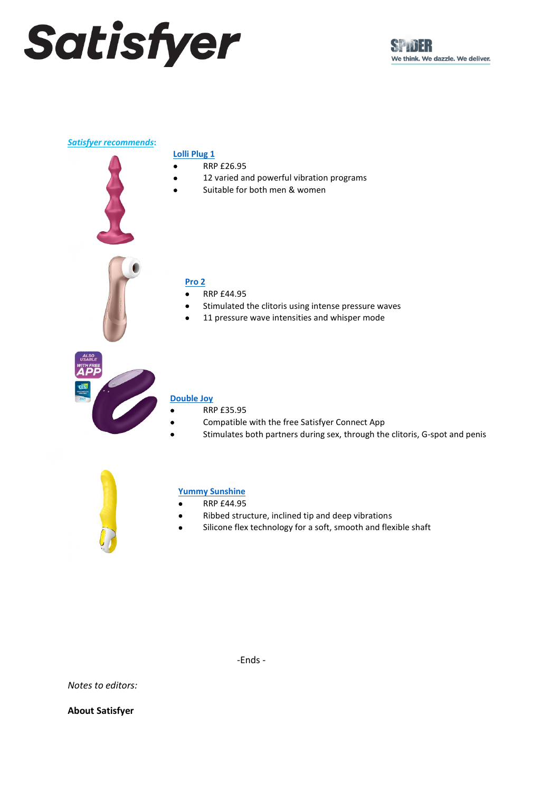# Satisfyer

#### *Satisfyer recommends***:**

### **[Lolli Plug 1](https://www.satisfyer.com/uk/products/anal-toys/anal-vibrators/136/lolli-plug-1)**

- RRP £26.95
- 12 varied and powerful vibration programs
- Suitable for both men & women



### **[Pro 2](https://www.satisfyer.com/uk/products/air-pulse-technology/air-pulse-stimulators/2/pro-2)**

- RRP £44.95
- Stimulated the clitoris using intense pressure waves
- 11 pressure wave intensities and whisper mode



## **[Double Joy](https://www.satisfyer.com/uk/products/vibrators/couples-vibrators/98/double-joy)**

- RRP £35.95
- Compatible with the free Satisfyer Connect App
- Stimulates both partners during sex, through the clitoris, G-spot and penis



### **[Yummy Sunshine](https://www.satisfyer.com/uk/products/vibrators/vibrators/48/yummy-sunshine)**

- RRP £44.95
- Ribbed structure, inclined tip and deep vibrations
- Silicone flex technology for a soft, smooth and flexible shaft

-Ends -

*Notes to editors:*

**About Satisfyer**